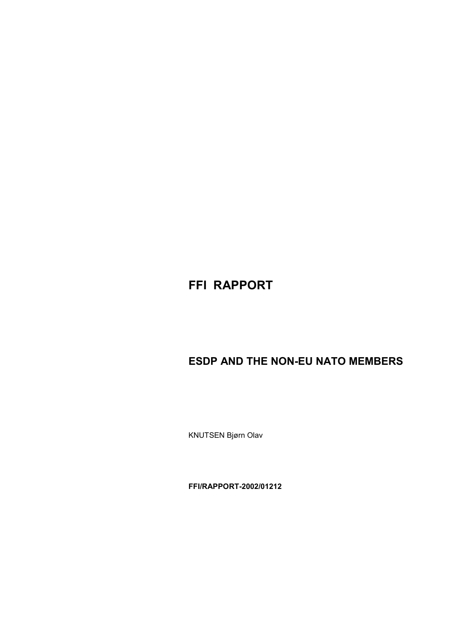# **FFI RAPPORT**

# **ESDP AND THE NON-EU NATO MEMBERS**

KNUTSEN Bjørn Olav

**FFI/RAPPORT-2002/01212**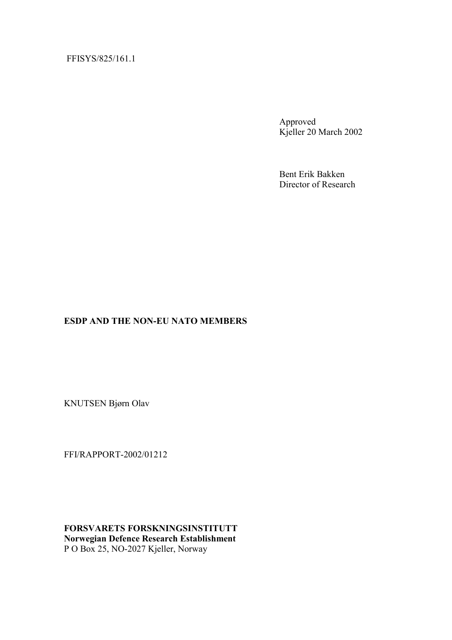## FFISYS/825/161.1

Approved Kjeller 20 March 2002

Bent Erik Bakken Director of Research

### **ESDP AND THE NON-EU NATO MEMBERS**

KNUTSEN Bjørn Olav

FFI/RAPPORT-2002/01212

**FORSVARETS FORSKNINGSINSTITUTT Norwegian Defence Research Establishment**  P O Box 25, NO-2027 Kjeller, Norway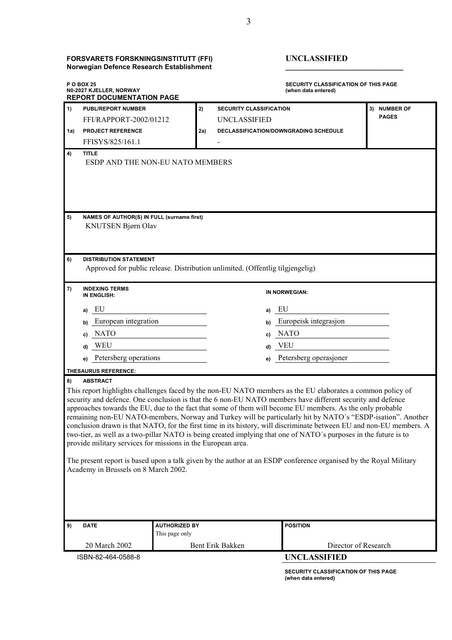#### **FORSVARETS FORSKNINGSINSTITUTT (FFI) UNCLASSIFIED Norwegian Defence Research Establishment \_\_\_\_\_\_\_\_\_\_\_\_\_\_\_\_\_\_\_\_\_\_\_\_\_\_\_\_\_\_\_**

 $\bf SECURITY CLASSIFICATION OF THIS PAGE (when data entered)$ 

| <b>POBOX 25</b><br>N0-2027 KJELLER, NORWAY<br><b>REPORT DOCUMENTATION PAGE</b>                                                                                                                                                                                                                                                                                                                                                                                                                                                                                                                                                                                                                                                                                                                                                                                                                                                |                                                                  | <b>SECURITY CLASSIFICATION OF THIS PAGE</b><br>(when data entered) |                                       |              |  |
|-------------------------------------------------------------------------------------------------------------------------------------------------------------------------------------------------------------------------------------------------------------------------------------------------------------------------------------------------------------------------------------------------------------------------------------------------------------------------------------------------------------------------------------------------------------------------------------------------------------------------------------------------------------------------------------------------------------------------------------------------------------------------------------------------------------------------------------------------------------------------------------------------------------------------------|------------------------------------------------------------------|--------------------------------------------------------------------|---------------------------------------|--------------|--|
| 1)<br><b>PUBL/REPORT NUMBER</b>                                                                                                                                                                                                                                                                                                                                                                                                                                                                                                                                                                                                                                                                                                                                                                                                                                                                                               |                                                                  | 2)<br><b>SECURITY CLASSIFICATION</b>                               |                                       | 3) NUMBER OF |  |
|                                                                                                                                                                                                                                                                                                                                                                                                                                                                                                                                                                                                                                                                                                                                                                                                                                                                                                                               | FFI/RAPPORT-2002/01212                                           | UNCLASSIFIED                                                       |                                       | <b>PAGES</b> |  |
| <b>PROJECT REFERENCE</b><br>1a)                                                                                                                                                                                                                                                                                                                                                                                                                                                                                                                                                                                                                                                                                                                                                                                                                                                                                               |                                                                  | 2a)                                                                | DECLASSIFICATION/DOWNGRADING SCHEDULE |              |  |
| FFISYS/825/161.1                                                                                                                                                                                                                                                                                                                                                                                                                                                                                                                                                                                                                                                                                                                                                                                                                                                                                                              |                                                                  |                                                                    |                                       |              |  |
| 4)<br><b>TITLE</b>                                                                                                                                                                                                                                                                                                                                                                                                                                                                                                                                                                                                                                                                                                                                                                                                                                                                                                            | ESDP AND THE NON-EU NATO MEMBERS                                 |                                                                    |                                       |              |  |
| 5)                                                                                                                                                                                                                                                                                                                                                                                                                                                                                                                                                                                                                                                                                                                                                                                                                                                                                                                            | NAMES OF AUTHOR(S) IN FULL (surname first)<br>KNUTSEN Bjørn Olav |                                                                    |                                       |              |  |
| 6)<br><b>DISTRIBUTION STATEMENT</b><br>Approved for public release. Distribution unlimited. (Offentlig tilgjengelig)                                                                                                                                                                                                                                                                                                                                                                                                                                                                                                                                                                                                                                                                                                                                                                                                          |                                                                  |                                                                    |                                       |              |  |
| 7)<br><b>INDEXING TERMS</b><br>IN ENGLISH:                                                                                                                                                                                                                                                                                                                                                                                                                                                                                                                                                                                                                                                                                                                                                                                                                                                                                    |                                                                  |                                                                    | IN NORWEGIAN:                         |              |  |
| EU<br>a)                                                                                                                                                                                                                                                                                                                                                                                                                                                                                                                                                                                                                                                                                                                                                                                                                                                                                                                      |                                                                  |                                                                    | EU<br>a)                              |              |  |
| b)                                                                                                                                                                                                                                                                                                                                                                                                                                                                                                                                                                                                                                                                                                                                                                                                                                                                                                                            | European integration<br>Europeisk integrasjon<br>b)              |                                                                    |                                       |              |  |
| <b>NATO</b><br>C)                                                                                                                                                                                                                                                                                                                                                                                                                                                                                                                                                                                                                                                                                                                                                                                                                                                                                                             |                                                                  |                                                                    | <b>NATO</b><br>C)                     |              |  |
| WEU<br>d)                                                                                                                                                                                                                                                                                                                                                                                                                                                                                                                                                                                                                                                                                                                                                                                                                                                                                                                     | <b>VEU</b><br>d)                                                 |                                                                    |                                       |              |  |
| Petersberg operasjoner<br>Petersberg operations<br>e)<br>e)                                                                                                                                                                                                                                                                                                                                                                                                                                                                                                                                                                                                                                                                                                                                                                                                                                                                   |                                                                  |                                                                    |                                       |              |  |
| <b>THESAURUS REFERENCE:</b>                                                                                                                                                                                                                                                                                                                                                                                                                                                                                                                                                                                                                                                                                                                                                                                                                                                                                                   |                                                                  |                                                                    |                                       |              |  |
| <b>ABSTRACT</b><br>8)                                                                                                                                                                                                                                                                                                                                                                                                                                                                                                                                                                                                                                                                                                                                                                                                                                                                                                         |                                                                  |                                                                    |                                       |              |  |
| This report highlights challenges faced by the non-EU NATO members as the EU elaborates a common policy of<br>security and defence. One conclusion is that the 6 non-EU NATO members have different security and defence<br>approaches towards the EU, due to the fact that some of them will become EU members. As the only probable<br>remaining non-EU NATO-members, Norway and Turkey will be particularly hit by NATO's "ESDP-isation". Another<br>conclusion drawn is that NATO, for the first time in its history, will discriminate between EU and non-EU members. A<br>two-tier, as well as a two-pillar NATO is being created implying that one of NATO's purposes in the future is to<br>provide military services for missions in the European area.<br>The present report is based upon a talk given by the author at an ESDP conference organised by the Royal Military<br>Academy in Brussels on 8 March 2002. |                                                                  |                                                                    |                                       |              |  |
| 9)<br><b>DATE</b>                                                                                                                                                                                                                                                                                                                                                                                                                                                                                                                                                                                                                                                                                                                                                                                                                                                                                                             | <b>AUTHORIZED BY</b>                                             |                                                                    | <b>POSITION</b>                       |              |  |
|                                                                                                                                                                                                                                                                                                                                                                                                                                                                                                                                                                                                                                                                                                                                                                                                                                                                                                                               | This page only                                                   |                                                                    |                                       |              |  |
| Director of Research<br>20 March 2002<br>Bent Erik Bakken                                                                                                                                                                                                                                                                                                                                                                                                                                                                                                                                                                                                                                                                                                                                                                                                                                                                     |                                                                  |                                                                    |                                       |              |  |
| ISBN-82-464-0588-8                                                                                                                                                                                                                                                                                                                                                                                                                                                                                                                                                                                                                                                                                                                                                                                                                                                                                                            |                                                                  |                                                                    | <b>UNCLASSIFIED</b>                   |              |  |

**SECURITY CLASSIFICATION OF THIS PAGE (when data entered)**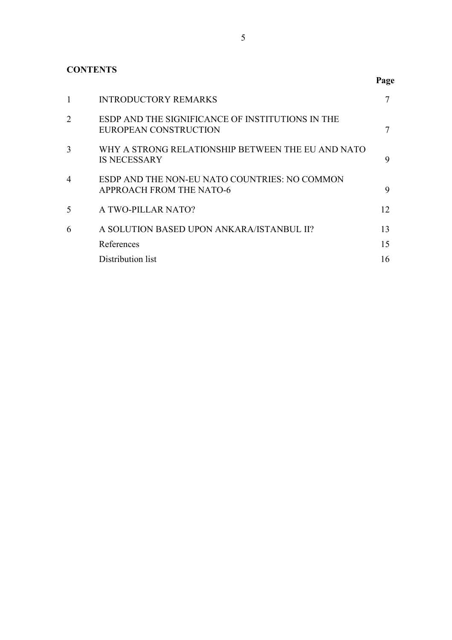## **CONTENTS**

|                |                                                                                  | Page |
|----------------|----------------------------------------------------------------------------------|------|
| 1              | <b>INTRODUCTORY REMARKS</b>                                                      | 7    |
| $\overline{2}$ | ESDP AND THE SIGNIFICANCE OF INSTITUTIONS IN THE<br>EUROPEAN CONSTRUCTION        | 7    |
| 3              | WHY A STRONG RELATIONSHIP BETWEEN THE EU AND NATO<br><b>IS NECESSARY</b>         | 9    |
| $\overline{4}$ | ESDP AND THE NON-EU NATO COUNTRIES: NO COMMON<br><b>APPROACH FROM THE NATO-6</b> | 9    |
| 5              | A TWO-PILLAR NATO?                                                               | 12   |
| 6              | A SOLUTION BASED UPON ANKARA/ISTANBUL II?                                        | 13   |
|                | References                                                                       | 15   |
|                | Distribution list                                                                | 16   |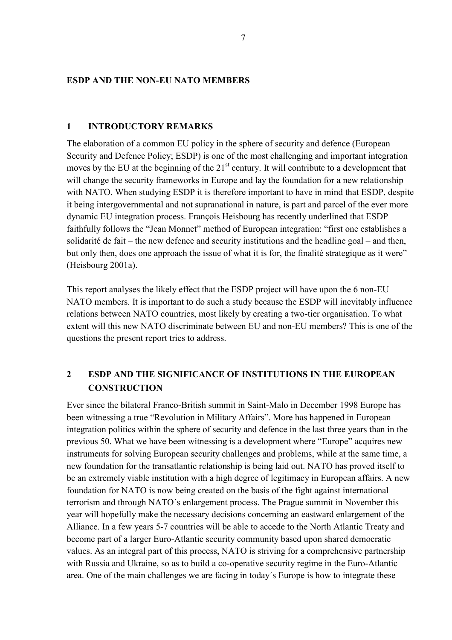### <span id="page-8-0"></span>**ESDP AND THE NON-EU NATO MEMBERS**

#### **1 INTRODUCTORY REMARKS**

The elaboration of a common EU policy in the sphere of security and defence (European Security and Defence Policy; ESDP) is one of the most challenging and important integration moves by the EU at the beginning of the  $21<sup>st</sup>$  century. It will contribute to a development that will change the security frameworks in Europe and lay the foundation for a new relationship with NATO. When studying ESDP it is therefore important to have in mind that ESDP, despite it being intergovernmental and not supranational in nature, is part and parcel of the ever more dynamic EU integration process. François Heisbourg has recently underlined that ESDP faithfully follows the "Jean Monnet" method of European integration: "first one establishes a solidarité de fait – the new defence and security institutions and the headline goal – and then, but only then, does one approach the issue of what it is for, the finalité strategique as it were" (Heisbourg 2001a).

This report analyses the likely effect that the ESDP project will have upon the 6 non-EU NATO members. It is important to do such a study because the ESDP will inevitably influence relations between NATO countries, most likely by creating a two-tier organisation. To what extent will this new NATO discriminate between EU and non-EU members? This is one of the questions the present report tries to address.

## **2 ESDP AND THE SIGNIFICANCE OF INSTITUTIONS IN THE EUROPEAN CONSTRUCTION**

Ever since the bilateral Franco-British summit in Saint-Malo in December 1998 Europe has been witnessing a true "Revolution in Military Affairs". More has happened in European integration politics within the sphere of security and defence in the last three years than in the previous 50. What we have been witnessing is a development where "Europe" acquires new instruments for solving European security challenges and problems, while at the same time, a new foundation for the transatlantic relationship is being laid out. NATO has proved itself to be an extremely viable institution with a high degree of legitimacy in European affairs. A new foundation for NATO is now being created on the basis of the fight against international terrorism and through NATO´s enlargement process. The Prague summit in November this year will hopefully make the necessary decisions concerning an eastward enlargement of the Alliance. In a few years 5-7 countries will be able to accede to the North Atlantic Treaty and become part of a larger Euro-Atlantic security community based upon shared democratic values. As an integral part of this process, NATO is striving for a comprehensive partnership with Russia and Ukraine, so as to build a co-operative security regime in the Euro-Atlantic area. One of the main challenges we are facing in today´s Europe is how to integrate these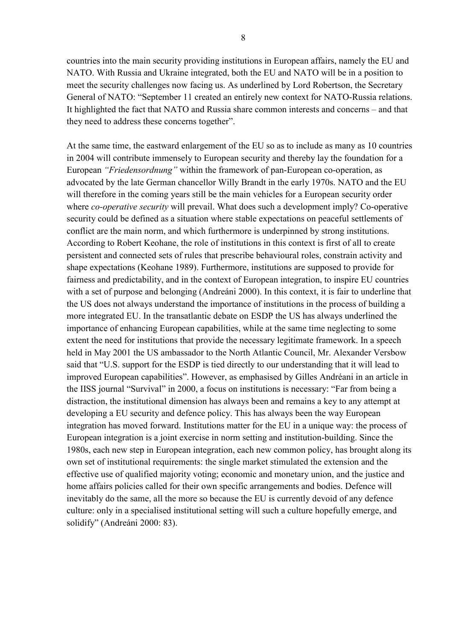countries into the main security providing institutions in European affairs, namely the EU and NATO. With Russia and Ukraine integrated, both the EU and NATO will be in a position to meet the security challenges now facing us. As underlined by Lord Robertson, the Secretary General of NATO: "September 11 created an entirely new context for NATO-Russia relations. It highlighted the fact that NATO and Russia share common interests and concerns – and that they need to address these concerns together".

At the same time, the eastward enlargement of the EU so as to include as many as 10 countries in 2004 will contribute immensely to European security and thereby lay the foundation for a European *"Friedensordnung"* within the framework of pan-European co-operation, as advocated by the late German chancellor Willy Brandt in the early 1970s. NATO and the EU will therefore in the coming years still be the main vehicles for a European security order where *co-operative security* will prevail. What does such a development imply? Co-operative security could be defined as a situation where stable expectations on peaceful settlements of conflict are the main norm, and which furthermore is underpinned by strong institutions. According to Robert Keohane, the role of institutions in this context is first of all to create persistent and connected sets of rules that prescribe behavioural roles, constrain activity and shape expectations (Keohane 1989). Furthermore, institutions are supposed to provide for fairness and predictability, and in the context of European integration, to inspire EU countries with a set of purpose and belonging (Andreáni 2000). In this context, it is fair to underline that the US does not always understand the importance of institutions in the process of building a more integrated EU. In the transatlantic debate on ESDP the US has always underlined the importance of enhancing European capabilities, while at the same time neglecting to some extent the need for institutions that provide the necessary legitimate framework. In a speech held in May 2001 the US ambassador to the North Atlantic Council, Mr. Alexander Versbow said that "U.S. support for the ESDP is tied directly to our understanding that it will lead to improved European capabilities". However, as emphasised by Gilles Andréani in an article in the IISS journal "Survival" in 2000, a focus on institutions is necessary: "Far from being a distraction, the institutional dimension has always been and remains a key to any attempt at developing a EU security and defence policy. This has always been the way European integration has moved forward. Institutions matter for the EU in a unique way: the process of European integration is a joint exercise in norm setting and institution-building. Since the 1980s, each new step in European integration, each new common policy, has brought along its own set of institutional requirements: the single market stimulated the extension and the effective use of qualified majority voting; economic and monetary union, and the justice and home affairs policies called for their own specific arrangements and bodies. Defence will inevitably do the same, all the more so because the EU is currently devoid of any defence culture: only in a specialised institutional setting will such a culture hopefully emerge, and solidify" (Andreáni 2000: 83).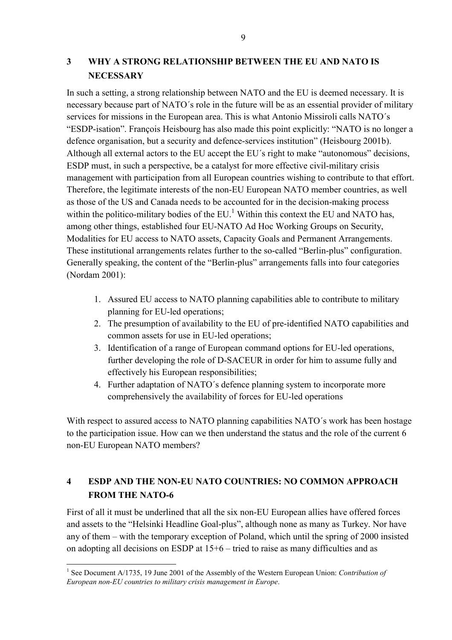## <span id="page-10-0"></span>**3 WHY A STRONG RELATIONSHIP BETWEEN THE EU AND NATO IS NECESSARY**

In such a setting, a strong relationship between NATO and the EU is deemed necessary. It is necessary because part of NATO´s role in the future will be as an essential provider of military services for missions in the European area. This is what Antonio Missiroli calls NATO´s "ESDP-isation". François Heisbourg has also made this point explicitly: "NATO is no longer a defence organisation, but a security and defence-services institution" (Heisbourg 2001b). Although all external actors to the EU accept the EU´s right to make "autonomous" decisions, ESDP must, in such a perspective, be a catalyst for more effective civil-military crisis management with participation from all European countries wishing to contribute to that effort. Therefore, the legitimate interests of the non-EU European NATO member countries, as well as those of the US and Canada needs to be accounted for in the decision-making process within the politico-military bodies of the EU.<sup>[1](#page-10-1)</sup> Within this context the EU and NATO has, among other things, established four EU-NATO Ad Hoc Working Groups on Security, Modalities for EU access to NATO assets, Capacity Goals and Permanent Arrangements. These institutional arrangements relates further to the so-called "Berlin-plus" configuration. Generally speaking, the content of the "Berlin-plus" arrangements falls into four categories (Nordam 2001):

- 1. Assured EU access to NATO planning capabilities able to contribute to military planning for EU-led operations;
- 2. The presumption of availability to the EU of pre-identified NATO capabilities and common assets for use in EU-led operations;
- 3. Identification of a range of European command options for EU-led operations, further developing the role of D-SACEUR in order for him to assume fully and effectively his European responsibilities;
- 4. Further adaptation of NATO´s defence planning system to incorporate more comprehensively the availability of forces for EU-led operations

With respect to assured access to NATO planning capabilities NATO's work has been hostage to the participation issue. How can we then understand the status and the role of the current 6 non-EU European NATO members?

## **4 ESDP AND THE NON-EU NATO COUNTRIES: NO COMMON APPROACH FROM THE NATO-6**

First of all it must be underlined that all the six non-EU European allies have offered forces and assets to the "Helsinki Headline Goal-plus", although none as many as Turkey. Nor have any of them – with the temporary exception of Poland, which until the spring of 2000 insisted on adopting all decisions on ESDP at 15+6 – tried to raise as many difficulties and as

 $\overline{a}$ 

<span id="page-10-1"></span><sup>&</sup>lt;sup>1</sup> See Document A/1735, 19 June 2001 of the Assembly of the Western European Union: *Contribution of European non-EU countries to military crisis management in Europe*.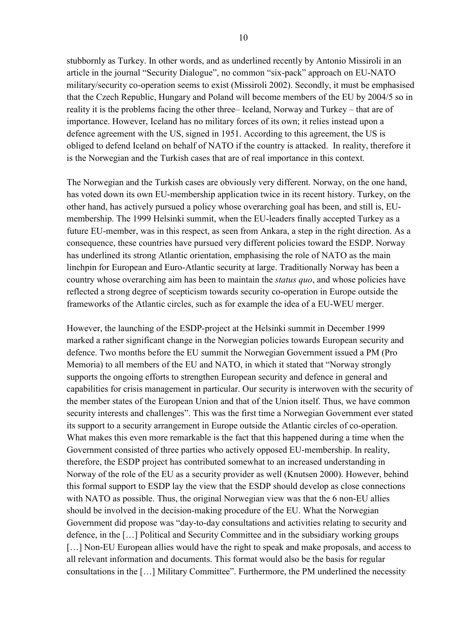stubbornly as Turkey. In other words, and as underlined recently by Antonio Missiroli in an article in the journal "Security Dialogue", no common "six-pack" approach on EU-NATO military/security co-operation seems to exist (Missiroli 2002). Secondly, it must be emphasised that the Czech Republic, Hungary and Poland will become members of the EU by 2004/5 so in reality it is the problems facing the other three– Iceland, Norway and Turkey – that are of importance. However, Iceland has no military forces of its own; it relies instead upon a defence agreement with the US, signed in 1951. According to this agreement, the US is obliged to defend Iceland on behalf of NATO if the country is attacked. In reality, therefore it is the Norwegian and the Turkish cases that are of real importance in this context.

The Norwegian and the Turkish cases are obviously very different. Norway, on the one hand, has voted down its own EU-membership application twice in its recent history. Turkey, on the other hand, has actively pursued a policy whose overarching goal has been, and still is, EUmembership. The 1999 Helsinki summit, when the EU-leaders finally accepted Turkey as a future EU-member, was in this respect, as seen from Ankara, a step in the right direction. As a consequence, these countries have pursued very different policies toward the ESDP. Norway has underlined its strong Atlantic orientation, emphasising the role of NATO as the main linchpin for European and Euro-Atlantic security at large. Traditionally Norway has been a country whose overarching aim has been to maintain the *status quo*, and whose policies have reflected a strong degree of scepticism towards security co-operation in Europe outside the frameworks of the Atlantic circles, such as for example the idea of a EU-WEU merger.

However, the launching of the ESDP-project at the Helsinki summit in December 1999 marked a rather significant change in the Norwegian policies towards European security and defence. Two months before the EU summit the Norwegian Government issued a PM (Pro Memoria) to all members of the EU and NATO, in which it stated that "Norway strongly supports the ongoing efforts to strengthen European security and defence in general and capabilities for crisis management in particular. Our security is interwoven with the security of the member states of the European Union and that of the Union itself. Thus, we have common security interests and challenges". This was the first time a Norwegian Government ever stated its support to a security arrangement in Europe outside the Atlantic circles of co-operation. What makes this even more remarkable is the fact that this happened during a time when the Government consisted of three parties who actively opposed EU-membership. In reality, therefore, the ESDP project has contributed somewhat to an increased understanding in Norway of the role of the EU as a security provider as well (Knutsen 2000). However, behind this formal support to ESDP lay the view that the ESDP should develop as close connections with NATO as possible. Thus, the original Norwegian view was that the 6 non-EU allies should be involved in the decision-making procedure of the EU. What the Norwegian Government did propose was "day-to-day consultations and activities relating to security and defence, in the […] Political and Security Committee and in the subsidiary working groups [...] Non-EU European allies would have the right to speak and make proposals, and access to all relevant information and documents. This format would also be the basis for regular consultations in the […] Military Committee". Furthermore, the PM underlined the necessity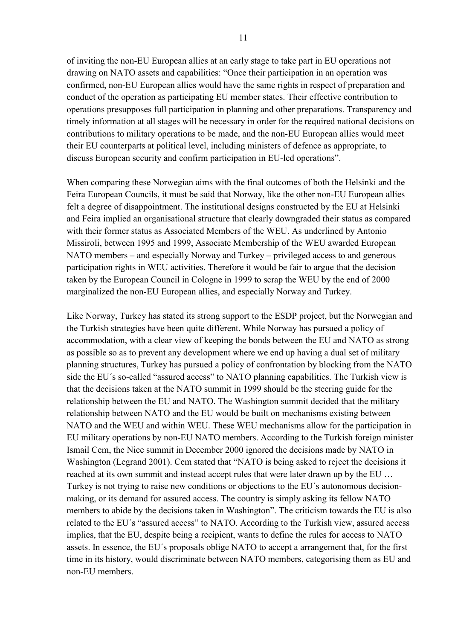of inviting the non-EU European allies at an early stage to take part in EU operations not drawing on NATO assets and capabilities: "Once their participation in an operation was confirmed, non-EU European allies would have the same rights in respect of preparation and conduct of the operation as participating EU member states. Their effective contribution to operations presupposes full participation in planning and other preparations. Transparency and timely information at all stages will be necessary in order for the required national decisions on contributions to military operations to be made, and the non-EU European allies would meet their EU counterparts at political level, including ministers of defence as appropriate, to discuss European security and confirm participation in EU-led operations".

When comparing these Norwegian aims with the final outcomes of both the Helsinki and the Feira European Councils, it must be said that Norway, like the other non-EU European allies felt a degree of disappointment. The institutional designs constructed by the EU at Helsinki and Feira implied an organisational structure that clearly downgraded their status as compared with their former status as Associated Members of the WEU. As underlined by Antonio Missiroli, between 1995 and 1999, Associate Membership of the WEU awarded European NATO members – and especially Norway and Turkey – privileged access to and generous participation rights in WEU activities. Therefore it would be fair to argue that the decision taken by the European Council in Cologne in 1999 to scrap the WEU by the end of 2000 marginalized the non-EU European allies, and especially Norway and Turkey.

Like Norway, Turkey has stated its strong support to the ESDP project, but the Norwegian and the Turkish strategies have been quite different. While Norway has pursued a policy of accommodation, with a clear view of keeping the bonds between the EU and NATO as strong as possible so as to prevent any development where we end up having a dual set of military planning structures, Turkey has pursued a policy of confrontation by blocking from the NATO side the EU´s so-called "assured access" to NATO planning capabilities. The Turkish view is that the decisions taken at the NATO summit in 1999 should be the steering guide for the relationship between the EU and NATO. The Washington summit decided that the military relationship between NATO and the EU would be built on mechanisms existing between NATO and the WEU and within WEU. These WEU mechanisms allow for the participation in EU military operations by non-EU NATO members. According to the Turkish foreign minister Ismail Cem, the Nice summit in December 2000 ignored the decisions made by NATO in Washington (Legrand 2001). Cem stated that "NATO is being asked to reject the decisions it reached at its own summit and instead accept rules that were later drawn up by the EU … Turkey is not trying to raise new conditions or objections to the EU´s autonomous decisionmaking, or its demand for assured access. The country is simply asking its fellow NATO members to abide by the decisions taken in Washington". The criticism towards the EU is also related to the EU´s "assured access" to NATO. According to the Turkish view, assured access implies, that the EU, despite being a recipient, wants to define the rules for access to NATO assets. In essence, the EU´s proposals oblige NATO to accept a arrangement that, for the first time in its history, would discriminate between NATO members, categorising them as EU and non-EU members.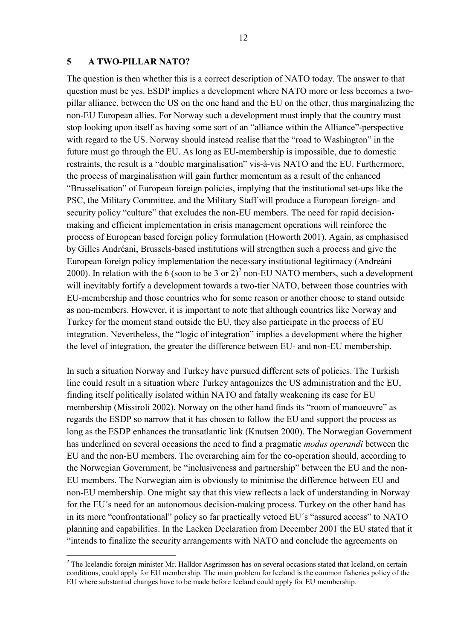#### <span id="page-13-0"></span>**5 A TWO-PILLAR NATO?**

 $\overline{a}$ 

The question is then whether this is a correct description of NATO today. The answer to that question must be yes. ESDP implies a development where NATO more or less becomes a twopillar alliance, between the US on the one hand and the EU on the other, thus marginalizing the non-EU European allies. For Norway such a development must imply that the country must stop looking upon itself as having some sort of an "alliance within the Alliance"-perspective with regard to the US. Norway should instead realise that the "road to Washington" in the future must go through the EU. As long as EU-membership is impossible, due to domestic restraints, the result is a "double marginalisation" vis-à-vis NATO and the EU. Furthermore, the process of marginalisation will gain further momentum as a result of the enhanced "Brusselisation" of European foreign policies, implying that the institutional set-ups like the PSC, the Military Committee, and the Military Staff will produce a European foreign- and security policy "culture" that excludes the non-EU members. The need for rapid decisionmaking and efficient implementation in crisis management operations will reinforce the process of European based foreign policy formulation (Howorth 2001). Again, as emphasised by Gilles Andréani, Brussels-based institutions will strengthen such a process and give the European foreign policy implementation the necessary institutional legitimacy (Andreáni [2](#page-13-1)000). In relation with the 6 (soon to be 3 or  $2)^2$  non-EU NATO members, such a development will inevitably fortify a development towards a two-tier NATO, between those countries with EU-membership and those countries who for some reason or another choose to stand outside as non-members. However, it is important to note that although countries like Norway and Turkey for the moment stand outside the EU, they also participate in the process of EU integration. Nevertheless, the "logic of integration" implies a development where the higher the level of integration, the greater the difference between EU- and non-EU membership.

In such a situation Norway and Turkey have pursued different sets of policies. The Turkish line could result in a situation where Turkey antagonizes the US administration and the EU, finding itself politically isolated within NATO and fatally weakening its case for EU membership (Missiroli 2002). Norway on the other hand finds its "room of manoeuvre" as regards the ESDP so narrow that it has chosen to follow the EU and support the process as long as the ESDP enhances the transatlantic link (Knutsen 2000). The Norwegian Government has underlined on several occasions the need to find a pragmatic *modus operandi* between the EU and the non-EU members. The overarching aim for the co-operation should, according to the Norwegian Government, be "inclusiveness and partnership" between the EU and the non-EU members. The Norwegian aim is obviously to minimise the difference between EU and non-EU membership. One might say that this view reflects a lack of understanding in Norway for the EU´s need for an autonomous decision-making process. Turkey on the other hand has in its more "confrontational" policy so far practically vetoed EU´s "assured access" to NATO planning and capabilities. In the Laeken Declaration from December 2001 the EU stated that it "intends to finalize the security arrangements with NATO and conclude the agreements on

<span id="page-13-1"></span> $2$  The Icelandic foreign minister Mr. Halldor Asgrimsson has on several occasions stated that Iceland, on certain conditions, could apply for EU membership. The main problem for Iceland is the common fisheries policy of the EU where substantial changes have to be made before Iceland could apply for EU membership.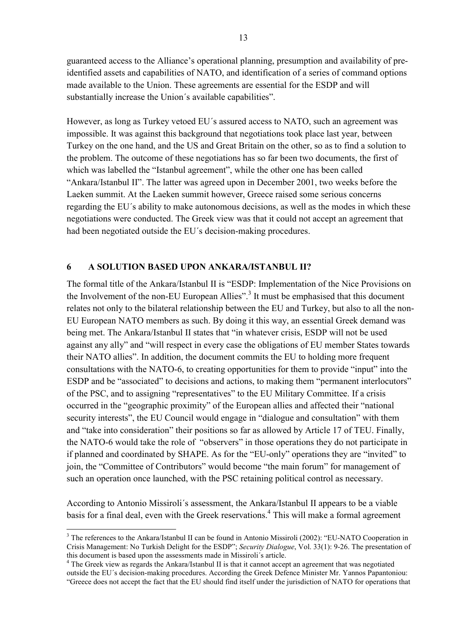<span id="page-14-0"></span>guaranteed access to the Alliance's operational planning, presumption and availability of preidentified assets and capabilities of NATO, and identification of a series of command options made available to the Union. These agreements are essential for the ESDP and will substantially increase the Union´s available capabilities".

However, as long as Turkey vetoed EU´s assured access to NATO, such an agreement was impossible. It was against this background that negotiations took place last year, between Turkey on the one hand, and the US and Great Britain on the other, so as to find a solution to the problem. The outcome of these negotiations has so far been two documents, the first of which was labelled the "Istanbul agreement", while the other one has been called "Ankara/Istanbul II". The latter was agreed upon in December 2001, two weeks before the Laeken summit. At the Laeken summit however, Greece raised some serious concerns regarding the EU´s ability to make autonomous decisions, as well as the modes in which these negotiations were conducted. The Greek view was that it could not accept an agreement that had been negotiated outside the EU´s decision-making procedures.

#### **6 A SOLUTION BASED UPON ANKARA/ISTANBUL II?**

The formal title of the Ankara/Istanbul II is "ESDP: Implementation of the Nice Provisions on the Involvement of the non-EU European Allies".<sup>[3](#page-14-1)</sup> It must be emphasised that this document relates not only to the bilateral relationship between the EU and Turkey, but also to all the non-EU European NATO members as such. By doing it this way, an essential Greek demand was being met. The Ankara/Istanbul II states that "in whatever crisis, ESDP will not be used against any ally" and "will respect in every case the obligations of EU member States towards their NATO allies". In addition, the document commits the EU to holding more frequent consultations with the NATO-6, to creating opportunities for them to provide "input" into the ESDP and be "associated" to decisions and actions, to making them "permanent interlocutors" of the PSC, and to assigning "representatives" to the EU Military Committee. If a crisis occurred in the "geographic proximity" of the European allies and affected their "national security interests", the EU Council would engage in "dialogue and consultation" with them and "take into consideration" their positions so far as allowed by Article 17 of TEU. Finally, the NATO-6 would take the role of "observers" in those operations they do not participate in if planned and coordinated by SHAPE. As for the "EU-only" operations they are "invited" to join, the "Committee of Contributors" would become "the main forum" for management of such an operation once launched, with the PSC retaining political control as necessary.

According to Antonio Missiroli´s assessment, the Ankara/Istanbul II appears to be a viable basis for a final deal, even with the Greek reservations. [4](#page-14-2) This will make a formal agreement

 $\overline{a}$ 

<span id="page-14-1"></span><sup>&</sup>lt;sup>3</sup> The references to the Ankara/Istanbul II can be found in Antonio Missiroli (2002): "EU-NATO Cooperation in Crisis Management: No Turkish Delight for the ESDP"; *Security Dialogue*, Vol. 33(1): 9-26. The presentation of this document is based upon the assessments made in Missiroli´s article.

<span id="page-14-2"></span><sup>&</sup>lt;sup>4</sup> The Greek view as regards the Ankara/Istanbul II is that it cannot accept an agreement that was negotiated outside the EU´s decision-making procedures. According the Greek Defence Minister Mr. Yannos Papantoniou: "Greece does not accept the fact that the EU should find itself under the jurisdiction of NATO for operations that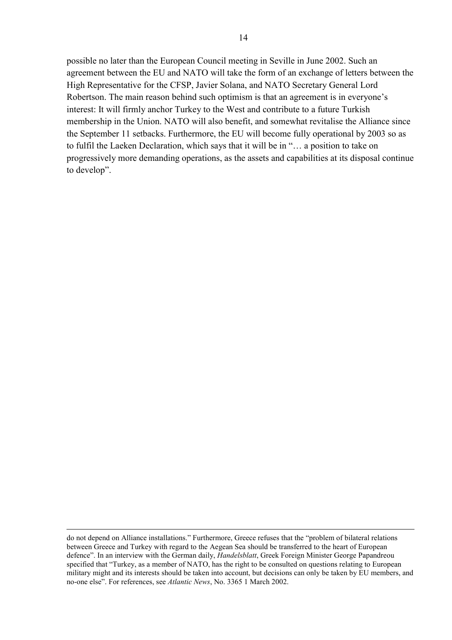possible no later than the European Council meeting in Seville in June 2002. Such an agreement between the EU and NATO will take the form of an exchange of letters between the High Representative for the CFSP, Javier Solana, and NATO Secretary General Lord Robertson. The main reason behind such optimism is that an agreement is in everyone's interest: It will firmly anchor Turkey to the West and contribute to a future Turkish membership in the Union. NATO will also benefit, and somewhat revitalise the Alliance since the September 11 setbacks. Furthermore, the EU will become fully operational by 2003 so as to fulfil the Laeken Declaration, which says that it will be in "… a position to take on progressively more demanding operations, as the assets and capabilities at its disposal continue to develop".

 $\overline{a}$ 

do not depend on Alliance installations." Furthermore, Greece refuses that the "problem of bilateral relations between Greece and Turkey with regard to the Aegean Sea should be transferred to the heart of European defence". In an interview with the German daily, *Handelsblatt*, Greek Foreign Minister George Papandreou specified that "Turkey, as a member of NATO, has the right to be consulted on questions relating to European military might and its interests should be taken into account, but decisions can only be taken by EU members, and no-one else". For references, see *Atlantic News*, No. 3365 1 March 2002.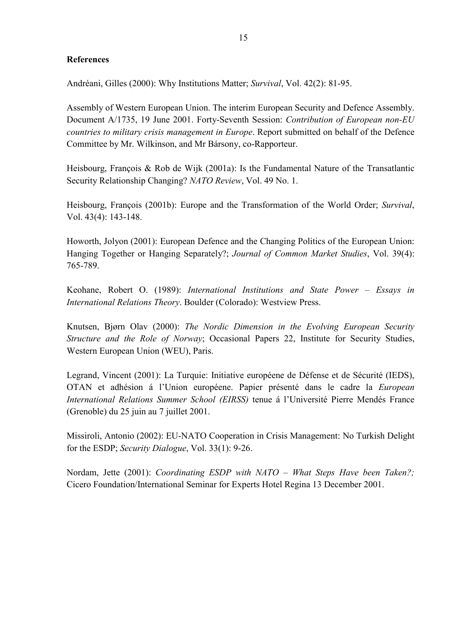### <span id="page-16-0"></span>**References**

Andréani, Gilles (2000): Why Institutions Matter; *Survival*, Vol. 42(2): 81-95.

Assembly of Western European Union. The interim European Security and Defence Assembly. Document A/1735, 19 June 2001. Forty-Seventh Session: *Contribution of European non-EU countries to military crisis management in Europe*. Report submitted on behalf of the Defence Committee by Mr. Wilkinson, and Mr Bársony, co-Rapporteur.

Heisbourg, François & Rob de Wijk (2001a): Is the Fundamental Nature of the Transatlantic Security Relationship Changing? *NATO Review*, Vol. 49 No. 1.

Heisbourg, François (2001b): Europe and the Transformation of the World Order; *Survival*, Vol. 43(4): 143-148.

Howorth, Jolyon (2001): European Defence and the Changing Politics of the European Union: Hanging Together or Hanging Separately?; *Journal of Common Market Studies*, Vol. 39(4): 765-789.

Keohane, Robert O. (1989): *International Institutions and State Power – Essays in International Relations Theory*. Boulder (Colorado): Westview Press.

Knutsen, Bjørn Olav (2000): *The Nordic Dimension in the Evolving European Security Structure and the Role of Norway*; Occasional Papers 22, Institute for Security Studies, Western European Union (WEU), Paris.

Legrand, Vincent (2001): La Turquie: Initiative européene de Défense et de Sécurité (IEDS), OTAN et adhésion á l'Union européene. Papier présenté dans le cadre la *European International Relations Summer School (EIRSS)* tenue á l'Université Pierre Mendés France (Grenoble) du 25 juin au 7 juillet 2001.

Missiroli, Antonio (2002): EU-NATO Cooperation in Crisis Management: No Turkish Delight for the ESDP; *Security Dialogue*, Vol. 33(1): 9-26.

Nordam, Jette (2001): *Coordinating ESDP with NATO – What Steps Have been Taken?;* Cicero Foundation/International Seminar for Experts Hotel Regina 13 December 2001.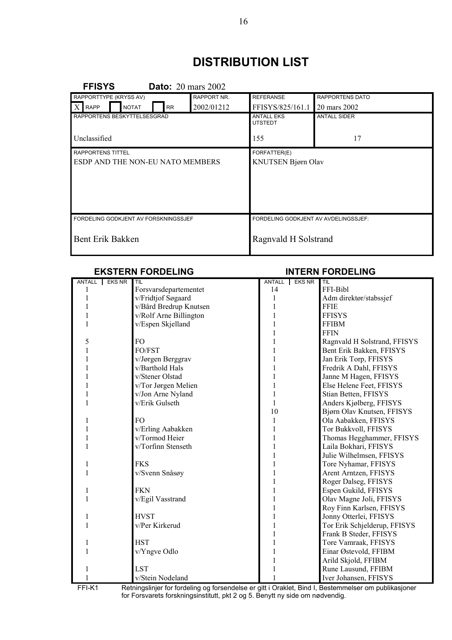# **DISTRIBUTION LIST**

<span id="page-17-0"></span>

| <b>FFISYS</b><br><b>Dato:</b> 20 mars 2002 |            |                                      |                     |  |
|--------------------------------------------|------------|--------------------------------------|---------------------|--|
| RAPPORTTYPE (KRYSS AV)<br>RAPPORT NR.      |            | <b>REFERANSE</b>                     | RAPPORTENS DATO     |  |
| $X$ RAPP<br><b>NOTAT</b><br><b>RR</b>      | 2002/01212 | FFISYS/825/161.1                     | 20 mars 2002        |  |
| RAPPORTENS BESKYTTELSESGRAD                |            | <b>ANTALL EKS</b><br><b>UTSTEDT</b>  | <b>ANTALL SIDER</b> |  |
| Unclassified                               |            | 155                                  | 17                  |  |
| <b>RAPPORTENS TITTEL</b>                   |            | FORFATTER(E)                         |                     |  |
| ESDP AND THE NON-EU NATO MEMBERS           |            | KNUTSEN Bjørn Olav                   |                     |  |
|                                            |            |                                      |                     |  |
|                                            |            |                                      |                     |  |
|                                            |            |                                      |                     |  |
|                                            |            |                                      |                     |  |
| FORDELING GODKJENT AV FORSKNINGSSJEF       |            | FORDELING GODKJENT AV AVDELINGSSJEF: |                     |  |
| Bent Erik Bakken                           |            | Ragnvald H Solstrand                 |                     |  |

## **EKSTERN FORDELING INTERN FORDELING**

| ANTALL EKS NR | TIL                    | ANTALL | <b>EKS NR</b> | TIL                          |
|---------------|------------------------|--------|---------------|------------------------------|
|               | Forsvarsdepartementet  | 14     |               | FFI-Bibl                     |
|               | v/Fridtjof Søgaard     |        |               | Adm direktør/stabssjef       |
|               | v/Bård Bredrup Knutsen |        |               | <b>FFIE</b>                  |
|               | v/Rolf Arne Billington |        |               | <b>FFISYS</b>                |
|               | v/Espen Skjelland      |        |               | <b>FFIBM</b>                 |
|               |                        |        |               | <b>FFIN</b>                  |
| 5             | FO.                    |        |               | Ragnvald H Solstrand, FFISYS |
|               | FO/FST                 |        |               | Bent Erik Bakken, FFISYS     |
|               | v/Jørgen Berggrav      |        |               | Jan Erik Torp, FFISYS        |
|               | v/Barthold Hals        |        |               | Fredrik A Dahl, FFISYS       |
|               | v/Stener Olstad        |        |               | Janne M Hagen, FFISYS        |
|               | v/Tor Jørgen Melien    |        |               | Else Helene Feet, FFISYS     |
|               | v/Jon Arne Nyland      |        |               | Stian Betten, FFISYS         |
|               | v/Erik Gulseth         |        |               | Anders Kjølberg, FFISYS      |
|               |                        | 10     |               | Bjørn Olav Knutsen, FFISYS   |
|               | F <sub>O</sub>         |        |               | Ola Aabakken, FFISYS         |
|               | v/Erling Aabakken      |        |               | Tor Bukkvoll, FFISYS         |
|               | v/Tormod Heier         |        |               | Thomas Hegghammer, FFISYS    |
|               | v/Torfinn Stenseth     |        |               | Laila Bokhari, FFISYS        |
|               |                        |        |               | Julie Wilhelmsen, FFISYS     |
|               | <b>FKS</b>             |        |               | Tore Nyhamar, FFISYS         |
|               | v/Svenn Snåsøy         |        |               | Arent Arntzen, FFISYS        |
|               |                        |        |               | Roger Dalseg, FFISYS         |
|               | <b>FKN</b>             |        |               | Espen Gukild, FFISYS         |
|               | v/Egil Vasstrand       |        |               | Olav Magne Joli, FFISYS      |
|               |                        |        |               | Roy Finn Karlsen, FFISYS     |
|               | <b>HVST</b>            |        |               | Jonny Otterlei, FFISYS       |
|               | v/Per Kirkerud         |        |               | Tor Erik Schjelderup, FFISYS |
|               |                        |        |               | Frank B Steder, FFISYS       |
|               | <b>HST</b>             |        |               | Tore Vamraak, FFISYS         |
|               | v/Yngve Odlo           |        |               | Einar Østevold, FFIBM        |
|               |                        |        |               | Arild Skjold, FFIBM          |
|               | <b>LST</b>             |        |               | Rune Lausund, FFIBM          |
|               | v/Stein Nodeland       |        |               | Iver Johansen, FFISYS        |

FFI-K1 Retningslinjer for fordeling og forsendelse er gitt i Oraklet, Bind I, Bestemmelser om publikasjoner for Forsvarets forskningsinstitutt, pkt 2 og 5. Benytt ny side om nødvendig.